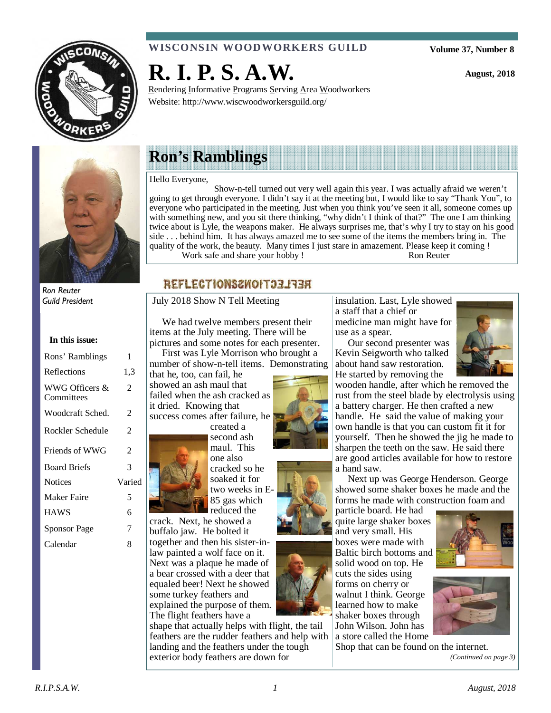

# **WISCONSIN WOODWORKERS GUILD**

Rendering Informative Programs Serving Area Woodworkers

**Volume 37, Number 8** 

**August, 2018** 



Ron Reuter Guild President

**In this issue:** 

| Rons' Ramblings              | 1      |
|------------------------------|--------|
| Reflections                  | 1,3    |
| WWG Officers &<br>Committees | 2      |
| Woodcraft Sched.             | 2      |
| Rockler Schedule             | 2      |
| Friends of WWG               | 2      |
| <b>Board Briefs</b>          | 3      |
| <b>Notices</b>               | Varied |
| <b>Maker Faire</b>           | 5      |
| <b>HAWS</b>                  | 6      |
| <b>Sponsor Page</b>          | 7      |

Calendar 8

# **Ron's Ramblings**

**R. I. P. S. A.W.** 

Website: http://www.wiscwoodworkersguild.org/

Hello Everyone,

 Show-n-tell turned out very well again this year. I was actually afraid we weren't going to get through everyone. I didn't say it at the meeting but, I would like to say "Thank You", to everyone who participated in the meeting. Just when you think you've seen it all, someone comes up with something new, and you sit there thinking, "why didn't I think of that?" The one I am thinking twice about is Lyle, the weapons maker. He always surprises me, that's why I try to stay on his good side . . . behind him. It has always amazed me to see some of the items the members bring in. The quality of the work, the beauty. Many times I just stare in amazement. Please keep it coming ! Work safe and share your hobby ! Ron Reuter

# REFLECTIONS2WOIT33IR

July 2018 Show N Tell Meeting

 We had twelve members present their items at the July meeting. There will be pictures and some notes for each presenter.

 First was Lyle Morrison who brought a number of show-n-tell items. Demonstrating

that he, too, can fail, he showed an ash maul that failed when the ash cracked as it dried. Knowing that success comes after failure, he created a

second ash maul. This one also cracked so he soaked it for two weeks in E-85 gas which reduced the

crack. Next, he showed a buffalo jaw. He bolted it together and then his sister-inlaw painted a wolf face on it. Next was a plaque he made of a bear crossed with a deer that equaled beer! Next he showed some turkey feathers and explained the purpose of them. The flight feathers have a

shape that actually helps with flight, the tail feathers are the rudder feathers and help with landing and the feathers under the tough exterior body feathers are down for







insulation. Last, Lyle showed a staff that a chief or medicine man might have for use as a spear.

 Our second presenter was Kevin Seigworth who talked about hand saw restoration. He started by removing the



wooden handle, after which he removed the rust from the steel blade by electrolysis using a battery charger. He then crafted a new handle. He said the value of making your own handle is that you can custom fit it for yourself. Then he showed the jig he made to sharpen the teeth on the saw. He said there are good articles available for how to restore a hand saw.

 Next up was George Henderson. George showed some shaker boxes he made and the forms he made with construction foam and

particle board. He had quite large shaker boxes and very small. His boxes were made with Baltic birch bottoms and solid wood on top. He cuts the sides using forms on cherry or walnut I think. George learned how to make shaker boxes through John Wilson. John has a store called the Home



Shop that can be found on the internet. *(Continued on page 3)* 

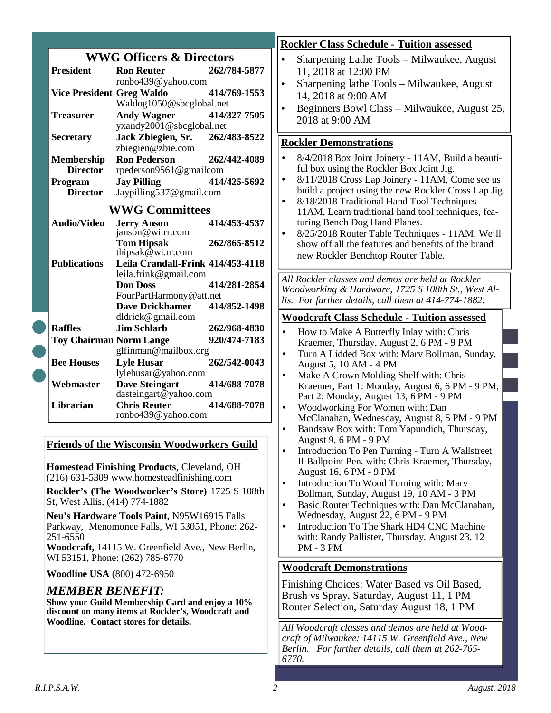|                                  | <b>WWG Officers &amp; Directors</b>                  |              |
|----------------------------------|------------------------------------------------------|--------------|
| <b>President</b>                 | <b>Ron Reuter</b>                                    | 262/784-5877 |
|                                  | ronbo439@yahoo.com                                   |              |
| <b>Vice President Greg Waldo</b> |                                                      | 414/769-1553 |
|                                  | Waldog1050@sbcglobal.net                             |              |
| <b>Treasurer</b>                 | Andy Wagner 414/327-7505<br>yxandy2001@sbcglobal.net |              |
|                                  |                                                      |              |
| <b>Secretary</b>                 | Jack Zbiegien, Sr. 262/483-8522                      |              |
|                                  | zbiegien@zbie.com                                    |              |
| Membership                       | <b>Ron Pederson</b>                                  | 262/442-4089 |
| <b>Director</b>                  | rpederson9561@gmailcom                               |              |
| Program                          | <b>Jay Pilling</b>                                   | 414/425-5692 |
| <b>Director</b>                  | Jaypilling537@gmail.com                              |              |
|                                  | <b>WWG Committees</b>                                |              |
| <b>Audio/Video</b>               | <b>Jerry Anson</b>                                   | 414/453-4537 |
|                                  | janson@wi.rr.com                                     |              |
|                                  | <b>Tom Hipsak</b><br>thipsak $@$ wi.rr.com           | 262/865-8512 |
| <b>Publications</b>              | Leila Crandall-Frink 414/453-4118                    |              |
|                                  | leila.frink@gmail.com                                |              |
|                                  | <b>Don Doss</b>                                      | 414/281-2854 |
|                                  | FourPartHarmony@att.net                              |              |
|                                  | <b>Dave Drickhamer</b>                               | 414/852-1498 |
|                                  | dldrick@gmail.com                                    |              |
| <b>Raffles</b>                   | <b>Jim Schlarb</b>                                   | 262/968-4830 |
| <b>Toy Chairman Norm Lange</b>   |                                                      | 920/474-7183 |
|                                  | glfinman@mailbox.org                                 |              |
| <b>Bee Houses</b>                | <b>Lyle Husar</b>                                    | 262/542-0043 |
|                                  | lylehusar@yahoo.com                                  |              |
| Webmaster                        | <b>Dave Steingart</b>                                | 414/688-7078 |
|                                  | dasteingart@yahoo.com                                |              |
| Librarian                        | <b>Chris Reuter</b><br>ronbo439@yahoo.com            | 414/688-7078 |

# **Friends of the Wisconsin Woodworkers Guild**

**Homestead Finishing Products**, Cleveland, OH (216) 631-5309 www.homesteadfinishing.com

**Rockler's (The Woodworker's Store)** 1725 S 108th St, West Allis, (414) 774-1882

**Neu's Hardware Tools Paint,** N95W16915 Falls Parkway, Menomonee Falls, WI 53051, Phone: 262- 251-6550

**Woodcraft,** 14115 W. Greenfield Ave., New Berlin, WI 53151, Phone: (262) 785-6770

**Woodline USA** (800) 472-6950

# *MEMBER BENEFIT:*

**Show your Guild Membership Card and enjoy a 10% discount on many items at Rockler's, Woodcraft and Woodline. Contact stores for details.** 

# **Rockler Class Schedule - Tuition assessed**

- Sharpening Lathe Tools Milwaukee, August 11, 2018 at 12:00 PM
- Sharpening lathe Tools Milwaukee, August 14, 2018 at 9:00 AM
- Beginners Bowl Class Milwaukee, August 25, 2018 at 9:00 AM

# **Rockler Demonstrations**

- 8/4/2018 Box Joint Joinery 11AM, Build a beautiful box using the Rockler Box Joint Jig.
- 8/11/2018 Cross Lap Joinery 11AM, Come see us build a project using the new Rockler Cross Lap Jig.
- 8/18/2018 Traditional Hand Tool Techniques 11AM, Learn traditional hand tool techniques, featuring Bench Dog Hand Planes.
- 8/25/2018 Router Table Techniques 11AM, We'll show off all the features and benefits of the brand new Rockler Benchtop Router Table.

*All Rockler classes and demos are held at Rockler Woodworking & Hardware, 1725 S 108th St., West Al-For further details, call them at 414-774-1882.* 

# **Woodcraft Class Schedule - Tuition assessed**

- How to Make A Butterfly Inlay with: Chris Kraemer, Thursday, August 2, 6 PM - 9 PM
- Turn A Lidded Box with: Marv Bollman, Sunday, August 5, 10 AM - 4 PM
- Make A Crown Molding Shelf with: Chris Kraemer, Part 1: Monday, August 6, 6 PM - 9 PM, Part 2: Monday, August 13, 6 PM - 9 PM
- Woodworking For Women with: Dan McClanahan, Wednesday, August 8, 5 PM - 9 PM
- Bandsaw Box with: Tom Yapundich, Thursday, August 9, 6 PM - 9 PM
- Introduction To Pen Turning Turn A Wallstreet II Ballpoint Pen. with: Chris Kraemer, Thursday, August 16, 6 PM - 9 PM
- Introduction To Wood Turning with: Marv Bollman, Sunday, August 19, 10 AM - 3 PM
- Basic Router Techniques with: Dan McClanahan, Wednesday, August 22, 6 PM - 9 PM
- Introduction To The Shark HD4 CNC Machine with: Randy Pallister, Thursday, August 23, 12 PM - 3 PM

# **Woodcraft Demonstrations**

Finishing Choices: Water Based vs Oil Based, Brush vs Spray, Saturday, August 11, 1 PM Router Selection, Saturday August 18, 1 PM

*All Woodcraft classes and demos are held at Woodcraft of Milwaukee: 14115 W. Greenfield Ave., New Berlin. For further details, call them at 262-765- 6770.*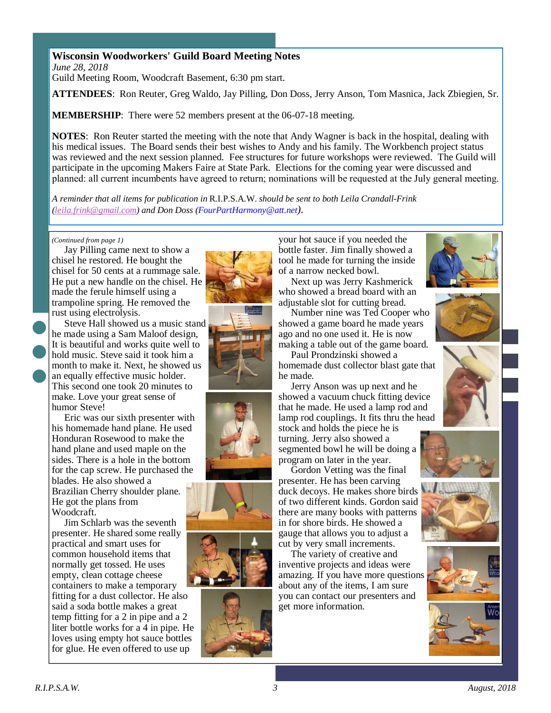### **Wisconsin Woodworkers' Guild Board Meeting Notes**

*June 28, 2018*  Guild Meeting Room, Woodcraft Basement, 6:30 pm start.

**ATTENDEES**: Ron Reuter, Greg Waldo, Jay Pilling, Don Doss, Jerry Anson, Tom Masnica, Jack Zbiegien, Sr.

**MEMBERSHIP:** There were 52 members present at the 06-07-18 meeting.

**NOTES**: Ron Reuter started the meeting with the note that Andy Wagner is back in the hospital, dealing with his medical issues. The Board sends their best wishes to Andy and his family. The Workbench project status was reviewed and the next session planned. Fee structures for future workshops were reviewed. The Guild will participate in the upcoming Makers Faire at State Park. Elections for the coming year were discussed and planned: all current incumbents have agreed to return; nominations will be requested at the July general meeting.

*A reminder that all items for publication in* R.I.P.S.A.W. *should be sent to both Leila Crandall-Frink (leila.frink@gmail.com) and Don Doss (FourPartHarmony@att.net).* 

#### *(Continued from page 1)*

 Jay Pilling came next to show a chisel he restored. He bought the chisel for 50 cents at a rummage sale. He put a new handle on the chisel. He made the ferule himself using a trampoline spring. He removed the rust using electrolysis.

 Steve Hall showed us a music stand he made using a Sam Maloof design, It is beautiful and works quite well to hold music. Steve said it took him a month to make it. Next, he showed us an equally effective music holder. This second one took 20 minutes to make. Love your great sense of humor Steve!

 Eric was our sixth presenter with his homemade hand plane. He used Honduran Rosewood to make the hand plane and used maple on the sides. There is a hole in the bottom for the cap screw. He purchased the blades. He also showed a Brazilian Cherry shoulder plane. He got the plans from Woodcraft.

 Jim Schlarb was the seventh presenter. He shared some really practical and smart uses for common household items that normally get tossed. He uses empty, clean cottage cheese containers to make a temporary fitting for a dust collector. He also said a soda bottle makes a great temp fitting for a 2 in pipe and a 2 liter bottle works for a 4 in pipe. He loves using empty hot sauce bottles for glue. He even offered to use up











your hot sauce if you needed the bottle faster. Jim finally showed a tool he made for turning the inside of a narrow necked bowl.

 Next up was Jerry Kashmerick who showed a bread board with an adjustable slot for cutting bread.

 Number nine was Ted Cooper who showed a game board he made years ago and no one used it. He is now making a table out of the game board.

 Paul Prondzinski showed a homemade dust collector blast gate that he made.

 Jerry Anson was up next and he showed a vacuum chuck fitting device that he made. He used a lamp rod and lamp rod couplings. It fits thru the head stock and holds the piece he is

turning. Jerry also showed a segmented bowl he will be doing a program on later in the year.

 Gordon Vetting was the final presenter. He has been carving duck decoys. He makes shore birds of two different kinds. Gordon said there are many books with patterns in for shore birds. He showed a gauge that allows you to adjust a cut by very small increments.

 The variety of creative and inventive projects and ideas were amazing. If you have more questions about any of the items, I am sure you can contact our presenters and get more information.









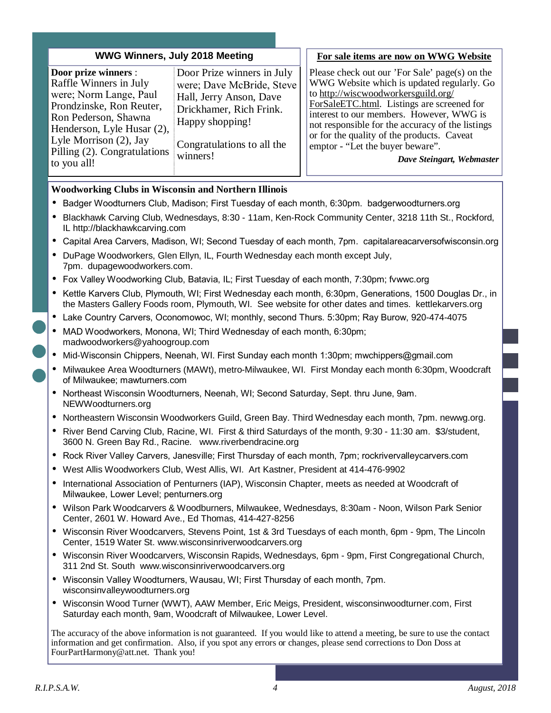#### **WWG Winners, July 2018 Meeting**

**Door prize winners** : Raffle Winners in July were; Norm Lange, Paul Prondzinske, Ron Reuter, Ron Pederson, Shawna Henderson, Lyle Husar (2), Lyle Morrison (2), Jay Pilling (2). Congratulations to you all!

Door Prize winners in July were; Dave McBride, Steve Hall, Jerry Anson, Dave Drickhamer, Rich Frink. Happy shopping!

Congratulations to all the winners!

#### **For sale items are now on WWG Website**

Please check out our 'For Sale' page(s) on the WWG Website which is updated regularly. Go to http://wiscwoodworkersguild.org/ ForSaleETC.html. Listings are screened for interest to our members. However, WWG is not responsible for the accuracy of the listings or for the quality of the products. Caveat emptor - "Let the buyer beware".

*Dave Steingart, Webmaster* 

#### **Woodworking Clubs in Wisconsin and Northern Illinois**

- Badger Woodturners Club, Madison; First Tuesday of each month, 6:30pm. badgerwoodturners.org
- Blackhawk Carving Club, Wednesdays, 8:30 11am, Ken-Rock Community Center, 3218 11th St., Rockford, IL http://blackhawkcarving.com
- Capital Area Carvers, Madison, WI; Second Tuesday of each month, 7pm. capitalareacarversofwisconsin.org
- DuPage Woodworkers, Glen Ellyn, IL, Fourth Wednesday each month except July, 7pm. dupagewoodworkers.com.
- Fox Valley Woodworking Club, Batavia, IL; First Tuesday of each month, 7:30pm; fvwwc.org
- Kettle Karvers Club, Plymouth, WI; First Wednesday each month, 6:30pm, Generations, 1500 Douglas Dr., in the Masters Gallery Foods room, Plymouth, WI. See website for other dates and times. kettlekarvers.org
- Lake Country Carvers, Oconomowoc, WI; monthly, second Thurs. 5:30pm; Ray Burow, 920-474-4075
- MAD Woodworkers, Monona, WI; Third Wednesday of each month, 6:30pm; madwoodworkers@yahoogroup.com
- Mid-Wisconsin Chippers, Neenah, WI. First Sunday each month 1:30pm; mwchippers@gmail.com
- Milwaukee Area Woodturners (MAWt), metro-Milwaukee, WI. First Monday each month 6:30pm, Woodcraft of Milwaukee; mawturners.com
- Northeast Wisconsin Woodturners, Neenah, WI; Second Saturday, Sept. thru June, 9am. NEWWoodturners.org
- Northeastern Wisconsin Woodworkers Guild, Green Bay. Third Wednesday each month, 7pm. newwg.org.
- River Bend Carving Club, Racine, WI. First & third Saturdays of the month, 9:30 11:30 am. \$3/student, 3600 N. Green Bay Rd., Racine. www.riverbendracine.org
- Rock River Valley Carvers, Janesville; First Thursday of each month, 7pm; rockrivervalleycarvers.com
- West Allis Woodworkers Club, West Allis, WI. Art Kastner, President at 414-476-9902
- International Association of Penturners (IAP), Wisconsin Chapter, meets as needed at Woodcraft of Milwaukee, Lower Level; penturners.org
- Wilson Park Woodcarvers & Woodburners, Milwaukee, Wednesdays, 8:30am Noon, Wilson Park Senior Center, 2601 W. Howard Ave., Ed Thomas, 414-427-8256
- Wisconsin River Woodcarvers, Stevens Point, 1st & 3rd Tuesdays of each month, 6pm 9pm, The Lincoln Center, 1519 Water St. www.wisconsinriverwoodcarvers.org
- Wisconsin River Woodcarvers, Wisconsin Rapids, Wednesdays, 6pm 9pm, First Congregational Church, 311 2nd St. South www.wisconsinriverwoodcarvers.org
- Wisconsin Valley Woodturners, Wausau, WI; First Thursday of each month, 7pm. wisconsinvalleywoodturners.org
- Wisconsin Wood Turner (WWT), AAW Member, Eric Meigs, President, wisconsinwoodturner.com, First Saturday each month, 9am, Woodcraft of Milwaukee, Lower Level.

The accuracy of the above information is not guaranteed. If you would like to attend a meeting, be sure to use the contact information and get confirmation. Also, if you spot any errors or changes, please send corrections to Don Doss at FourPartHarmony@att.net. Thank you!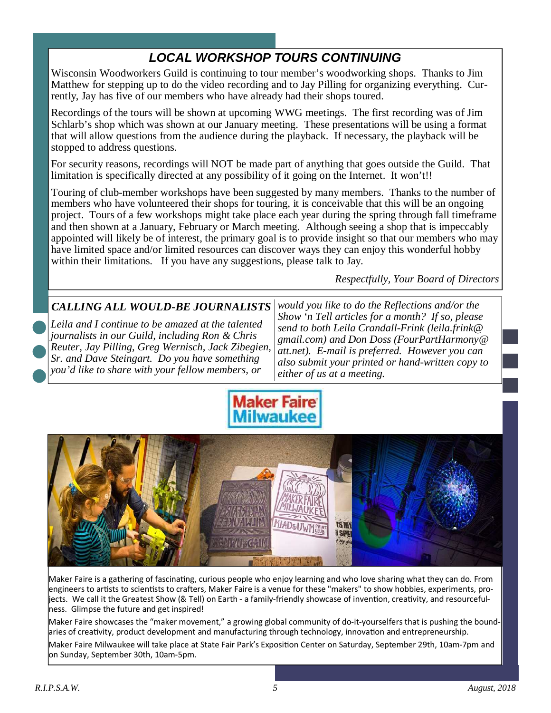# **LOCAL WORKSHOP TOURS CONTINUING**

Wisconsin Woodworkers Guild is continuing to tour member's woodworking shops. Thanks to Jim Matthew for stepping up to do the video recording and to Jay Pilling for organizing everything. Currently, Jay has five of our members who have already had their shops toured.

Recordings of the tours will be shown at upcoming WWG meetings. The first recording was of Jim Schlarb's shop which was shown at our January meeting. These presentations will be using a format that will allow questions from the audience during the playback. If necessary, the playback will be stopped to address questions.

For security reasons, recordings will NOT be made part of anything that goes outside the Guild. That limitation is specifically directed at any possibility of it going on the Internet. It won't!!

Touring of club-member workshops have been suggested by many members. Thanks to the number of members who have volunteered their shops for touring, it is conceivable that this will be an ongoing project. Tours of a few workshops might take place each year during the spring through fall timeframe and then shown at a January, February or March meeting. Although seeing a shop that is impeccably appointed will likely be of interest, the primary goal is to provide insight so that our members who may have limited space and/or limited resources can discover ways they can enjoy this wonderful hobby within their limitations. If you have any suggestions, please talk to Jay.

*Respectfully, Your Board of Directors* 

# *CALLING ALL WOULD-BE JOURNALISTS*

*Leila and I continue to be amazed at the talented journalists in our Guild, including Ron & Chris Reuter, Jay Pilling, Greg Wernisch, Jack Zibegien, Sr. and Dave Steingart. Do you have something you'd like to share with your fellow members, or* 

*would you like to do the Reflections and/or the Show 'n Tell articles for a month? If so, please send to both Leila Crandall-Frink (leila.frink@ gmail.com) and Don Doss (FourPartHarmony@ att.net). E-mail is preferred. However you can also submit your printed or hand-written copy to either of us at a meeting.* 





Maker Faire is a gathering of fascinating, curious people who enjoy learning and who love sharing what they can do. From engineers to artists to scientists to crafters, Maker Faire is a venue for these "makers" to show hobbies, experiments, projects. We call it the Greatest Show (& Tell) on Earth - a family-friendly showcase of invention, creativity, and resourcefulness. Glimpse the future and get inspired!

Maker Faire showcases the "maker movement," a growing global community of do-it-yourselfers that is pushing the boundaries of creativity, product development and manufacturing through technology, innovation and entrepreneurship.

Maker Faire Milwaukee will take place at State Fair Park's Exposition Center on Saturday, September 29th, 10am-7pm and on Sunday, September 30th, 10am-5pm.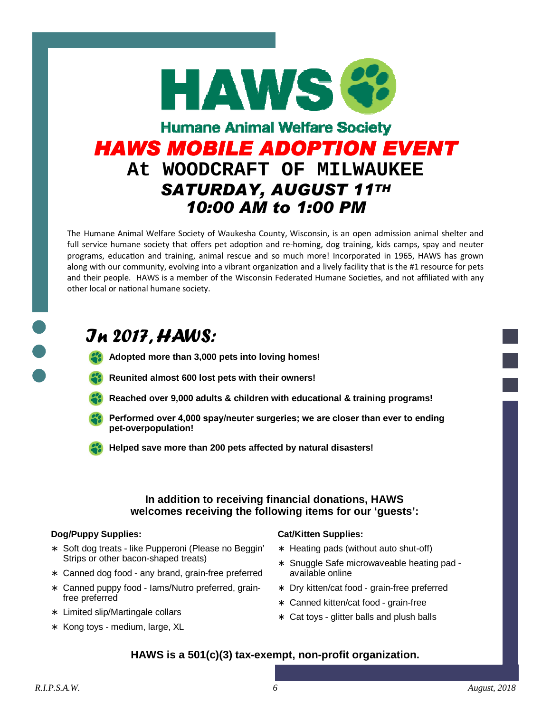

The Humane Animal Welfare Society of Waukesha County, Wisconsin, is an open admission animal shelter and full service humane society that offers pet adoption and re-homing, dog training, kids camps, spay and neuter programs, education and training, animal rescue and so much more! Incorporated in 1965, HAWS has grown along with our community, evolving into a vibrant organization and a lively facility that is the #1 resource for pets and their people. HAWS is a member of the Wisconsin Federated Humane Societies, and not affiliated with any other local or national humane society.

# In 2017, HAWS:

- **Adopted more than 3,000 pets into loving homes!**
- **Reunited almost 600 lost pets with their owners!**
- **Reached over 9,000 adults & children with educational & training programs!**
- Performed over 4,000 spay/neuter surgeries; we are closer than ever to ending **pet-overpopulation!**
- **Helped save more than 200 pets affected by natural disasters!**

### **In addition to receiving financial donations, HAWS welcomes receiving the following items for our 'guests':**

#### **Dog/Puppy Supplies:**

- ∗ Soft dog treats like Pupperoni (Please no Beggin' Strips or other bacon-shaped treats)
- ∗ Canned dog food any brand, grain-free preferred
- ∗ Canned puppy food Iams/Nutro preferred, grainfree preferred
- ∗ Limited slip/Martingale collars
- ∗ Kong toys medium, large, XL

#### **Cat/Kitten Supplies:**

- ∗ Heating pads (without auto shut-off)
- ∗ Snuggle Safe microwaveable heating pad available online
- ∗ Dry kitten/cat food grain-free preferred
- ∗ Canned kitten/cat food grain-free
- ∗ Cat toys glitter balls and plush balls

# **HAWS is a 501(c)(3) tax-exempt, non-profit organization.**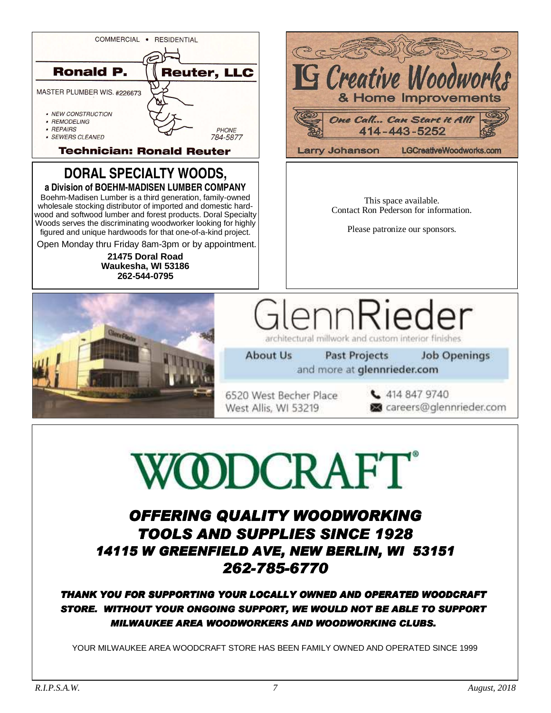